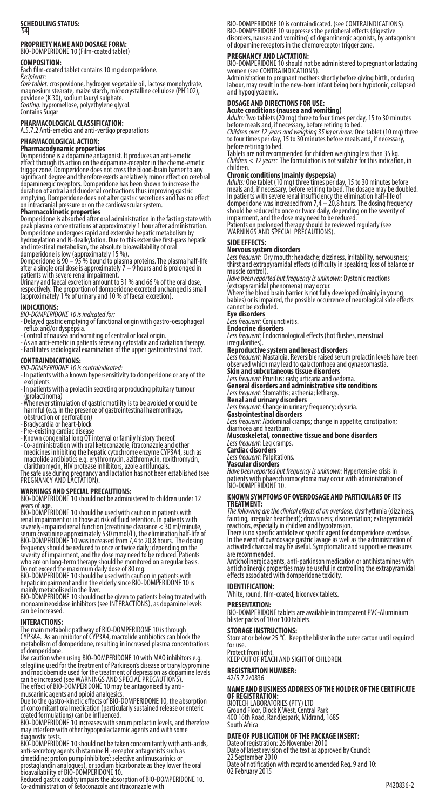# **SCHEDULING STATUS:** S4

# **PROPRIETY NAME AND DOSAGE FORM:** BIO-DOMPERIDONE 10 (Film-coated tablet)

## **COMPOSITION:**<br>Each film-coated

Each film-coated tablet contains 10 mg domperidone. *Excipients:*

*Coré tablet:* crospovidone, hydrogen vegetable oil, lactose monohydrate,<br>magnesium stearate, maize starch, microcrystalline cellulose (PH 102),<br>povidone (K 30), sodium lauryl sulphate.<br>*Contini*rs Sugar<br>Contains Sugar

## **PHARMACOLOGICAL CLASSIFICATION:**

A.5.7.2 Anti-emetics and anti-vertigo preparations

**PHARMACOLOGICAL ACTION:**<br>**Pharmacodynamic properties**<br>Domperidone is a dopamine antagonist. It produces an anti-emetic<br>effect through its action on the dopamine-receptor in the chemo-emetic<br>trigger zone. Domperidone does duration of antral and duodenal contractions thus improving gastric emptying. Domperidone does not alter gastric secretions and has no effect on intracranial pressure or on the cardiovascular system.

**Pharmacokinetic properties** Domperidone is absorbed after oral administration in the fasting state with peak plasma concentrations at approximately 1 hour after administration. Domperidone undergoes rapid and extensive hepatic metabolism by hydroxylation and N-dealkylation. Due to this extensive first-pass hepatic

and intestinal metabolism, the absolute bioavailability of oral<br>domperidone is low (approximately 15 %).<br>Domperidone is 90 – 95 % bound to plasma proteins. The plasma half-life<br>after a single oral dose is approximately 7 –

- **INDICATIONS:**<br>**BIO-DOMPERIDONE 10** is indicated for:<br>- Delayed gastric emptying of functional origin with gastro-oesophageal<br>- Control of nausea and vomiting of central or local origin.<br>- Control of nausea and vomiting of
- 
- As an anti-emetic in patients receiving cytostatic and radiation therapy. Facilitates radiological examination of the upper gastrointestinal tract.

### **CONTRAINDICATIONS:**

- *BIO-DOMPERIDONE 10 is contraindicated:* In patients with a known hypersensitivity to domperidone or any of the excinients
- In patients with a prolactin secreting or producing pituitary tumour (prolactinoma) - Whenever stimulation of gastric motility is to be avoided or could be
- 
- 
- 
- harmful (e.g. in the presence of gastrointestinal haemorrhage,<br>obstruction or perforation)<br>- Bradycardia or heart-block<br>- Pre-existing cardiac disease<br>- Known congenital long OT interval or family history thereof.<br>- Known

### **WARNINGS AND SPECIAL PRECAUTIONS:**

BIO-DOMPERIDONE 10 should not be administered to children under 12

years of age. BIO-DOMPERIDONE 10 should be used with caution in patients with renal impairment or in those at risk of fluid retention. In patients with severely-impaired renal function (creatinine clearance < 30 ml/minute, serum creatinine approximately 530 mmol/L), the elimination half-life of BIO-DOMPERIDONE 10 was increased from 7,4 to 20,8 hours. The dosing frequency should be reduced to once or twice daily; depending on the severity of impairment, and the dose may need to be reduced. Patients<br>who are on long-term therapy should be monitored on a regular basis.<br>Do not exceed

mainly metabolised in the liver.<br>BIO-DOMPERIDONE 10 should not be given to patients being treated with<br>monoamineoxidase inhibitors (see INTERACTIONS), as dopamine levels<br>can be increased.

**INTERACTIONS:**<br>The main metabolic pathway of BIO-DOMPERIDONE 10 is through<br>CYP3A4. As an inhibitor of CYP3A4, macrolide antibiotics can block the<br>metabolism of domperidone, resulting in increased plasma concentrations of domperidone.

Use caution when using BIO-DOMPERIDONE 10 with MAO inhibitors e.g.<br>selegiline used for the treatment of Parkinson's disease or tranylcypromine<br>and moclobernide used for the treatment of depression as doparnine levels<br>can b

muscarinic agents and opioid analgesics.<br>Due to the gastro-kinetic effects of BIO-DOMPERIDONE 10, the absorption<br>Of concomitant oral medication (particularly sustained release or enteric<br>coated formulations) can be influen

diagnostic tests.<br>BIO-DOMPERIDONE 10 should not be taken concomitantly with anti-acids,<br>BIO-DOMPERIDONE 10 should not be taken concomitantly with anti-acids,<br>cimetidine; proton pump inhibitors; selective antimuscarinics or

Reduced gastric acidity impairs the absorption of BIO-DOMPERIDONE 10. Co-administration of ketoconazole and itraconazole with

BIO-DOMPERIDONE 10 is contraindicated. (see CONTRAINDICATIONS).<br>BIO-DOMPERIDONE 10 suppresses the peripheral effects (digestive<br>disorders, nausea and vomiting) of dopaminergic agonists, by antagonism<br>of dopamine receptors

### **PREGNANCY AND LACTATION:**

FRESINALIST FIRE EXTRIBUTION<br>BIO-DOMPERIDONE 10 should not be administered to pregnant or lactating<br>women (see CONTRAINDICATIONS).

women (see CONTRAINDICATIONS). Administration to pregnant mothers shortly before giving birth, or during labour, may result in the new-born infant being born hypotonic, collapsed and hypoglycaemic.

**DOSAGE AND DIRECTIONS FOR USE:<br><b>Acute conditions (nausea and vomiting)**<br>A*dults:* Two tablets (20 mg) three to four times per day, 15 to 30 minutes<br>before meals and, if necessary, before retiring to bed.

*Children over 12 years and weighing 35 kg or m̃one:* One tablet (10 mg) three<br>to four times per day, 15 to 30 minutes before meals and, if necessary,<br>before retiring to bed.<br>Tablets are not recommended for children weighi

children.<br>**Christian Conditions (mainly dyspepsia)**<br>**Chronic conditions (mainly dyspepsia)**<br>*Adults:* One tablet (10 mg) three times per day, 15 to 30 minutes before<br>meals and, if meessary, before retiring to bed. The dosa

## **SIDE EFFECTS:**

**Nervous system disorders**<br>*Less frequent: D*ry mouth; headache; dizziness, irritability, nervousness;<br>thirst and extrapyramidal effects (difficulty in speaking; loss of balance or

muscle control).<br>*Have been reported but frequency is unknown:* Dystonic reactions<br>(extrapyramidal phenomena) may occur.<br>Where the blood brain barrier is not fully developed (mainly in young<br>babies) or is impaired, the pos cannot be excluded. **Eye disorders**

*Less frequent:* Conjunctivitis. **Endocrine disorders**

*Less frequent:* Endocrinological effects (hot flushes, menstrual irregularities).

**Reproductive system and breast disorders**<br>*Less frequent: Mastal*gia. Reversible raised serum prolactin levels have been<br>observed which may lead to galactorrhoea and gynaecomastia. **observed which may lead to galactorrhoea and gynaecomastia.**<br>Skin and subcutaneous tissue disorders

# *Less frequent:* Pruritus; rash; urticaria and oedema. **General disorders and administrative site conditions**

*Less frequent:* Stomatitis; asthenia; lethargy. **Renal and urinary disorders**

*Less frequent:* Change in urinary frequency; dysuria. **Gastrointestinal disorders**

*Less frequent:* Abdominal cramps; change in appetite; constipation;<br>diarrhoea and heartburn.<br>**Muscoskeletal, connective tissue and bone disorders** 

*Less frequent:* Leg cramps. **Cardiac disorders**

*Less frequent:* Palpitations. **Vascular disorders**

*Have been reported but frequency is unknown:* Hypertensive crisis in<br>patients with phaeochromocytoma may occur with administration of<br>BIO-DOMPERIDONE 10.

### **KNOWN SYMPTOMS OF OVERDOSAGE AND PARTICULARS OF ITS TREATMENT:**

*The following are the clinical effects of an overdose:* dysrhythmia (dizziness, fainting, irregular heartbeat); drowsiness; disorientation; extrapyramidal

reactions, especially in children and hypotension.<br>There is no specific antidote or specific agent for domperidone overdose.<br>In the event of overdosage gastric lavage as well as the administration of<br>activated charcoal may activated enarcodi

Anticholinergic agents, anti-parkinson medication or antihistamines with anticholinergic properties may be useful in controlling the extrapyramidal effects associated with domperidone toxicity.

**IDENTIFICATION:** White, round, film-coated, biconvex tablets.

### **PRESENTATION:**

BIO-DOMPERIDONE tablets are available in transparent PVC-Aluminium blister packs of 10 or 100 tablets.

**STORAGE INSTRUCTIONS:** Store at or below 25 °C. Keep the blister in the outer carton until required for use.

Protect from light. KEEP OUT OF REACH AND SIGHT OF CHILDREN.

## **REGISTRATION NUMBER:**

## 42/5.7.2/0836

# **NAME AND BUSINESS ADDRESS OF THE HOLDER OF THE CERTIFICATE OF REGISTRATION:** BIOTECH LABORATORIES (PTY) LTD

Ground Floor, Block K West, Central Park 400 16th Road, Randjespark, Midrand, 1685 South Africa

### **DATE OF PUBLICATION OF THE PACKAGE INSERT:**

Date of registration: 26 November 2010 Date of latest revision of the text as approved by Council: 22 September 2010 Date of notification with regard to amended Reg. 9 and 10: 02 February 2015